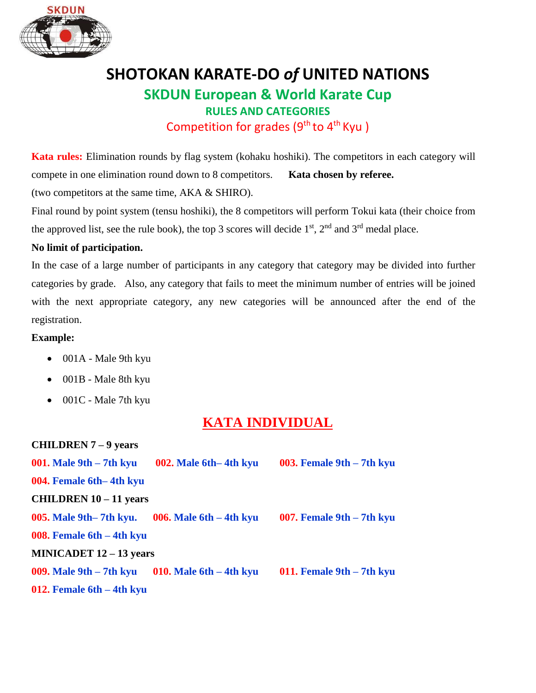

# **SHOTOKAN KARATE-DO** *of* **UNITED NATIONS SKDUN European & World Karate Cup RULES AND CATEGORIES** Competition for grades (9<sup>th</sup> to 4<sup>th</sup> Kyu)

**Kata rules:** Elimination rounds by flag system (kohaku hoshiki). The competitors in each category will compete in one elimination round down to 8 competitors. **Kata chosen by referee.** (two competitors at the same time, AKA & SHIRO).

Final round by point system (tensu hoshiki), the 8 competitors will perform Tokui kata (their choice from the approved list, see the rule book), the top 3 scores will decide  $1<sup>st</sup>$ ,  $2<sup>nd</sup>$  and  $3<sup>rd</sup>$  medal place.

## **No limit of participation.**

In the case of a large number of participants in any category that category may be divided into further categories by grade. Also, any category that fails to meet the minimum number of entries will be joined with the next appropriate category, any new categories will be announced after the end of the registration.

## **Example:**

**CHILDREN 7 – 9 years**

- 001A Male 9th kyu
- 001B Male 8th kyu
- 001C Male 7th kyu

## **KATA INDIVIDUAL**

| <b>CHILDREN</b> $I - 9$ years    |                           |                             |
|----------------------------------|---------------------------|-----------------------------|
| 001. Male $9th - 7th$ kyu        | 002. Male 6th–4th kyu     | 003. Female $9th - 7th$ kyu |
| 004. Female 6th–4th kyu          |                           |                             |
| <b>CHILDREN</b> $10 - 11$ years  |                           |                             |
| 005. Male 9th–7th kyu.           | 006. Male $6th - 4th$ kyu | 007. Female $9th - 7th$ kyu |
| 008. Female $6th - 4th$ kyu      |                           |                             |
| <b>MINICADET</b> $12 - 13$ years |                           |                             |
| 009. Male $9th - 7th$ kyu        | 010. Male $6th - 4th$ kyu | 011. Female $9th - 7th$ kyu |
| 012. Female $6th - 4th$ kyu      |                           |                             |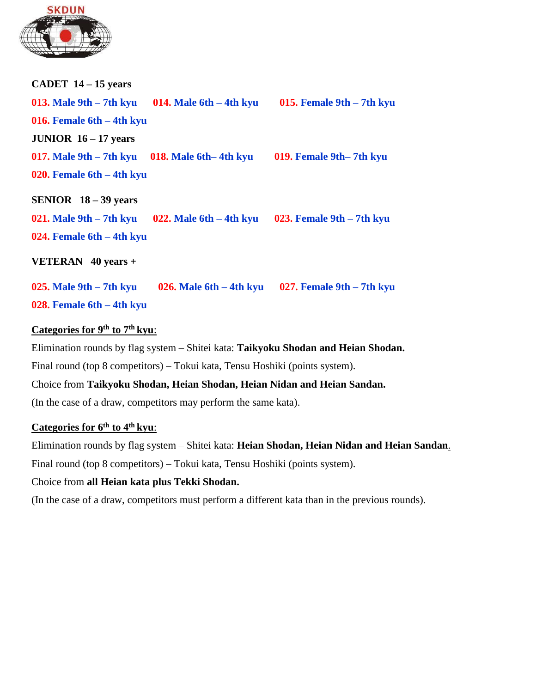

**CADET 14 – 15 years**

| 013. Male $9th - 7th$ kyu     | 014. Male $6th - 4th$ kyu   | 015. Female $9th - 7th$ kyu |
|-------------------------------|-----------------------------|-----------------------------|
| 016. Female $6th - 4th$ kyu   |                             |                             |
| <b>JUNIOR</b> $16 - 17$ years |                             |                             |
| 017. Male $9th - 7th$ kyu     | 018. Male 6th–4th kyu       | 019. Female 9th–7th kyu     |
| 020. Female $6th - 4th$ kyu   |                             |                             |
| SENIOR $18-39$ years          |                             |                             |
| 021. Male $9th - 7th$ kyu     | $022.$ Male $6th - 4th$ kyu | 023. Female $9th - 7th$ kyu |
| 024. Female $6th - 4th$ kyu   |                             |                             |
| <b>VETERAN</b> $40$ years +   |                             |                             |
| 025. Male $9th - 7th$ kyu     | $026.$ Male $6th - 4th$ kyu | 027. Female $9th - 7th$ kyu |
| 028. Female $6th - 4th$ kyu   |                             |                             |

#### **Categories for 9 th to 7 th kyu**:

Elimination rounds by flag system – Shitei kata: **Taikyoku Shodan and Heian Shodan.**

Final round (top 8 competitors) – Tokui kata, Tensu Hoshiki (points system).

Choice from **Taikyoku Shodan, Heian Shodan, Heian Nidan and Heian Sandan.** (In the case of a draw, competitors may perform the same kata).

### **Categories for 6 th to 4 th kyu**:

Elimination rounds by flag system – Shitei kata: **Heian Shodan, Heian Nidan and Heian Sandan**.

Final round (top 8 competitors) – Tokui kata, Tensu Hoshiki (points system).

## Choice from **all Heian kata plus Tekki Shodan.**

(In the case of a draw, competitors must perform a different kata than in the previous rounds).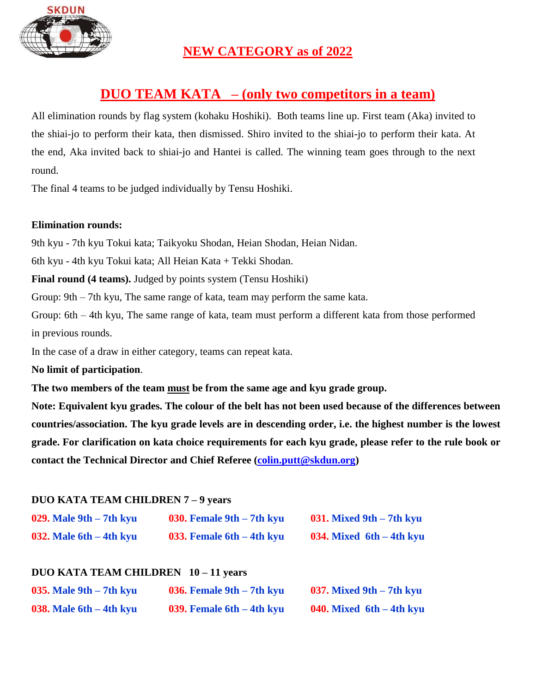

## **NEW CATEGORY as of 2022**

## **DUO TEAM KATA – (only two competitors in a team)**

All elimination rounds by flag system (kohaku Hoshiki). Both teams line up. First team (Aka) invited to the shiai-jo to perform their kata, then dismissed. Shiro invited to the shiai-jo to perform their kata. At the end, Aka invited back to shiai-jo and Hantei is called. The winning team goes through to the next round.

The final 4 teams to be judged individually by Tensu Hoshiki.

## **Elimination rounds:**

9th kyu - 7th kyu Tokui kata; Taikyoku Shodan, Heian Shodan, Heian Nidan.

6th kyu - 4th kyu Tokui kata; All Heian Kata + Tekki Shodan.

**Final round (4 teams).** Judged by points system (Tensu Hoshiki)

Group: 9th – 7th kyu, The same range of kata, team may perform the same kata.

Group: 6th – 4th kyu, The same range of kata, team must perform a different kata from those performed in previous rounds.

In the case of a draw in either category, teams can repeat kata.

**No limit of participation**.

**The two members of the team must be from the same age and kyu grade group.**

Note: Equivalent kyu grades. The colour of the belt has not been used because of the differences between **countries/association. The kyu grade levels are in descending order, i.e. the highest number is the lowest** grade. For clarification on kata choice requirements for each kyu grade, please refer to the rule book or **contact the Technical Director and Chief Referee (colin.putt@skdun.org)** 

## **DUO KATA TEAM CHILDREN 7 – 9 years**

| 029. Male $9th - 7th$ kyu | 030. Female $9th - 7th$ kyu | 031. Mixed $9th - 7th$ kyu |
|---------------------------|-----------------------------|----------------------------|
| 032. Male $6th - 4th$ kyu | 033. Female $6th - 4th$ kyu | 034. Mixed $6th - 4th$ kyu |

| <b>DUO KATA TEAM CHILDREN</b> 10 - 11 years |                             |                            |  |  |
|---------------------------------------------|-----------------------------|----------------------------|--|--|
| $035.$ Male $9th - 7th$ kyu                 | 036. Female $9th - 7th$ kyu | 037. Mixed $9th - 7th$ kyu |  |  |
| 038. Male $6th - 4th$ kyu                   | 039. Female $6th - 4th$ kyu | 040. Mixed $6th - 4th$ kyu |  |  |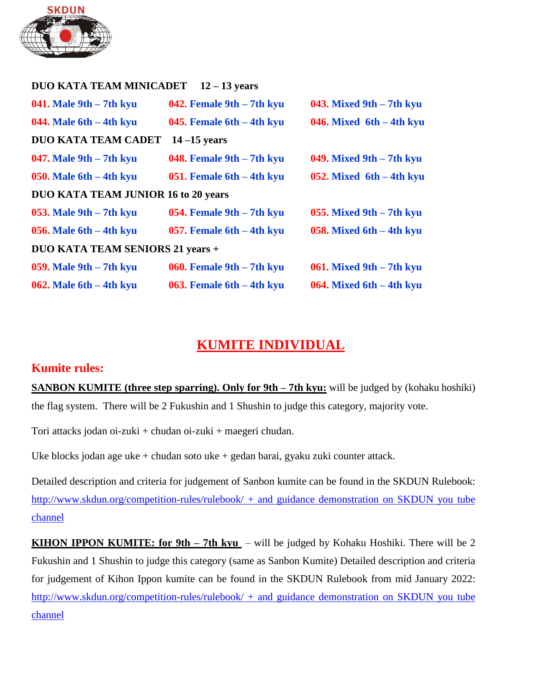

#### **DUO KATA TEAM MINICADET 12 – 13 years**

| 041. Male $9th - 7th$ kyu                  | 042. Female $9th - 7th$ kyu | 043. Mixed $9th - 7th$ kyu |
|--------------------------------------------|-----------------------------|----------------------------|
| 044. Male $6th - 4th$ kyu                  | 045. Female $6th - 4th$ kyu | 046. Mixed $6th - 4th$ kyu |
| <b>DUO KATA TEAM CADET</b>                 | $14 - 15$ years             |                            |
| 047. Male $9th - 7th$ kyu                  | 048. Female $9th - 7th$ kyu | 049. Mixed $9th - 7th$ kyu |
| 050. Male $6th - 4th$ kyu                  | 051. Female $6th - 4th$ kyu | 052. Mixed $6th - 4th$ kyu |
| <b>DUO KATA TEAM JUNIOR 16 to 20 years</b> |                             |                            |
| 053. Male $9th - 7th$ kyu                  | 054. Female $9th - 7th$ kyu | 055. Mixed $9th - 7th$ kyu |
| 056. Male $6th - 4th$ kyu                  | 057. Female $6th - 4th$ kyu | 058. Mixed $6th - 4th$ kyu |
| <b>DUO KATA TEAM SENIORS 21 years +</b>    |                             |                            |
| 059. Male $9th - 7th$ kyu                  | 060. Female $9th - 7th$ kyu | 061. Mixed $9th - 7th$ kyu |
| 062. Male $6th - 4th$ kyu                  | 063. Female $6th - 4th$ kyu | 064. Mixed $6th - 4th$ kyu |

## **KUMITE INDIVIDUAL**

## **Kumite rules:**

**SANBON KUMITE (three step sparring). Only for 9th – 7th kyu:** will be judged by (kohaku hoshiki) the flag system. There will be 2 Fukushin and 1 Shushin to judge this category, majority vote.

Tori attacks jodan oi-zuki + chudan oi-zuki + maegeri chudan.

Uke blocks jodan age uke + chudan soto uke + gedan barai, gyaku zuki counter attack.

Detailed description and criteria for judgement of Sanbon kumite can be found in the SKDUN Rulebook: [http://www.skdun.org/competition-rules/rulebook/](http://www.skdun.org/competition-rules/rule-book/) + and guidance demonstration on SKDUN you tube channel

**KIHON IPPON KUMITE: for 9th – 7th kyu** – will be judged by Kohaku Hoshiki. There will be 2 Fukushin and 1 Shushin to judge this category (same as Sanbon Kumite) Detailed description and criteria for judgement of Kihon Ippon kumite can be found in the SKDUN Rulebook from mid January 2022: [http://www.skdun.org/competition-rules/rulebook/](http://www.skdun.org/competition-rules/rule-book/) + and guidance demonstration on SKDUN you tube channel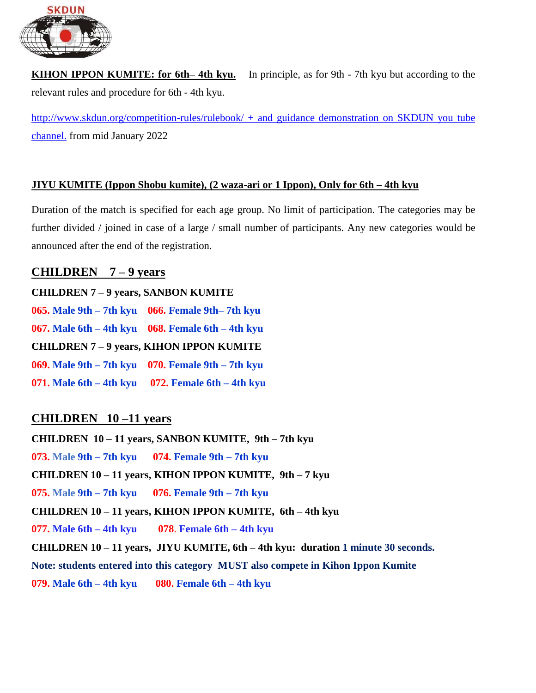

**KIHON IPPON KUMITE: for 6th– 4th kyu.** In principle, as for 9th - 7th kyu but according to the relevant rules and procedure for 6th - 4th kyu.

[http://www.skdun.org/competition-rules/rulebook/](http://www.skdun.org/competition-rules/rule-book/) + and guidance demonstration on SKDUN you tube channel. from mid January 2022

## **JIYU KUMITE (Ippon Shobu kumite), (2 waza-ari or 1 Ippon), Only for 6th – 4th kyu**

Duration of the match is specified for each age group. No limit of participation. The categories may be further divided / joined in case of a large / small number of participants. Any new categories would be announced after the end of the registration.

## **CHILDREN 7 – 9 years**

**CHILDREN 7 – 9 years, SANBON KUMITE 065. Male 9th – 7th kyu 066. Female 9th– 7th kyu 067. Male 6th – 4th kyu 068. Female 6th – 4th kyu CHILDREN 7 – 9 years, KIHON IPPON KUMITE 069. Male 9th – 7th kyu 070. Female 9th – 7th kyu 071. Male 6th – 4th kyu 072. Female 6th – 4th kyu**

## **CHILDREN 10 –11 years**

**CHILDREN 10 – 11 years, SANBON KUMITE, 9th – 7th kyu 073. Male 9th – 7th kyu 074. Female 9th – 7th kyu CHILDREN 10 – 11 years, KIHON IPPON KUMITE, 9th – 7 kyu 075. Male 9th – 7th kyu 076. Female 9th – 7th kyu CHILDREN 10 – 11 years, KIHON IPPON KUMITE, 6th – 4th kyu 077. Male 6th – 4th kyu 078**. **Female 6th – 4th kyu CHILDREN 10 – 11 years, JIYU KUMITE, 6th – 4th kyu: duration 1 minute 30 seconds. Note: students entered into this category MUST also compete in Kihon Ippon Kumite 079. Male 6th – 4th kyu 080. Female 6th – 4th kyu**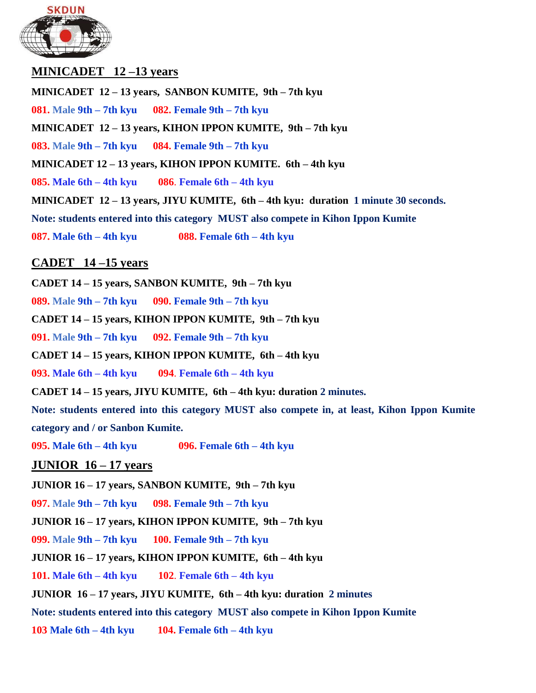

## **MINICADET 12 –13 years**

**MINICADET 12 – 13 years, SANBON KUMITE, 9th – 7th kyu 081. Male 9th – 7th kyu 082. Female 9th – 7th kyu MINICADET 12 – 13 years, KIHON IPPON KUMITE, 9th – 7th kyu 083. Male 9th – 7th kyu 084. Female 9th – 7th kyu MINICADET 12 – 13 years, KIHON IPPON KUMITE. 6th – 4th kyu 085. Male 6th – 4th kyu 086**. **Female 6th – 4th kyu MINICADET 12 – 13 years, JIYU KUMITE, 6th – 4th kyu: duration 1 minute 30 seconds. Note: students entered into this category MUST also compete in Kihon Ippon Kumite 087. Male 6th – 4th kyu 088. Female 6th – 4th kyu**

## **CADET 14 –15 years**

**CADET 14 – 15 years, SANBON KUMITE, 9th – 7th kyu 089. Male 9th – 7th kyu 090. Female 9th – 7th kyu CADET 14 – 15 years, KIHON IPPON KUMITE, 9th – 7th kyu 091. Male 9th – 7th kyu 092. Female 9th – 7th kyu CADET 14 – 15 years, KIHON IPPON KUMITE, 6th – 4th kyu 093. Male 6th – 4th kyu 094**. **Female 6th – 4th kyu CADET 14 – 15 years, JIYU KUMITE, 6th – 4th kyu: duration 2 minutes. Note: students entered into this category MUST also compete in, at least, Kihon Ippon Kumite category and / or Sanbon Kumite. 095. Male 6th – 4th kyu 096. Female 6th – 4th kyu JUNIOR 16 – 17 years JUNIOR 16 – 17 years, SANBON KUMITE, 9th – 7th kyu 097. Male 9th – 7th kyu 098. Female 9th – 7th kyu**

**JUNIOR 16 – 17 years, KIHON IPPON KUMITE, 9th – 7th kyu**

**099. Male 9th – 7th kyu 100. Female 9th – 7th kyu**

**JUNIOR 16 – 17 years, KIHON IPPON KUMITE, 6th – 4th kyu** 

**101. Male 6th – 4th kyu 102**. **Female 6th – 4th kyu**

**JUNIOR 16 – 17 years, JIYU KUMITE, 6th – 4th kyu: duration 2 minutes**

**Note: students entered into this category MUST also compete in Kihon Ippon Kumite**

**103 Male 6th – 4th kyu 104. Female 6th – 4th kyu**